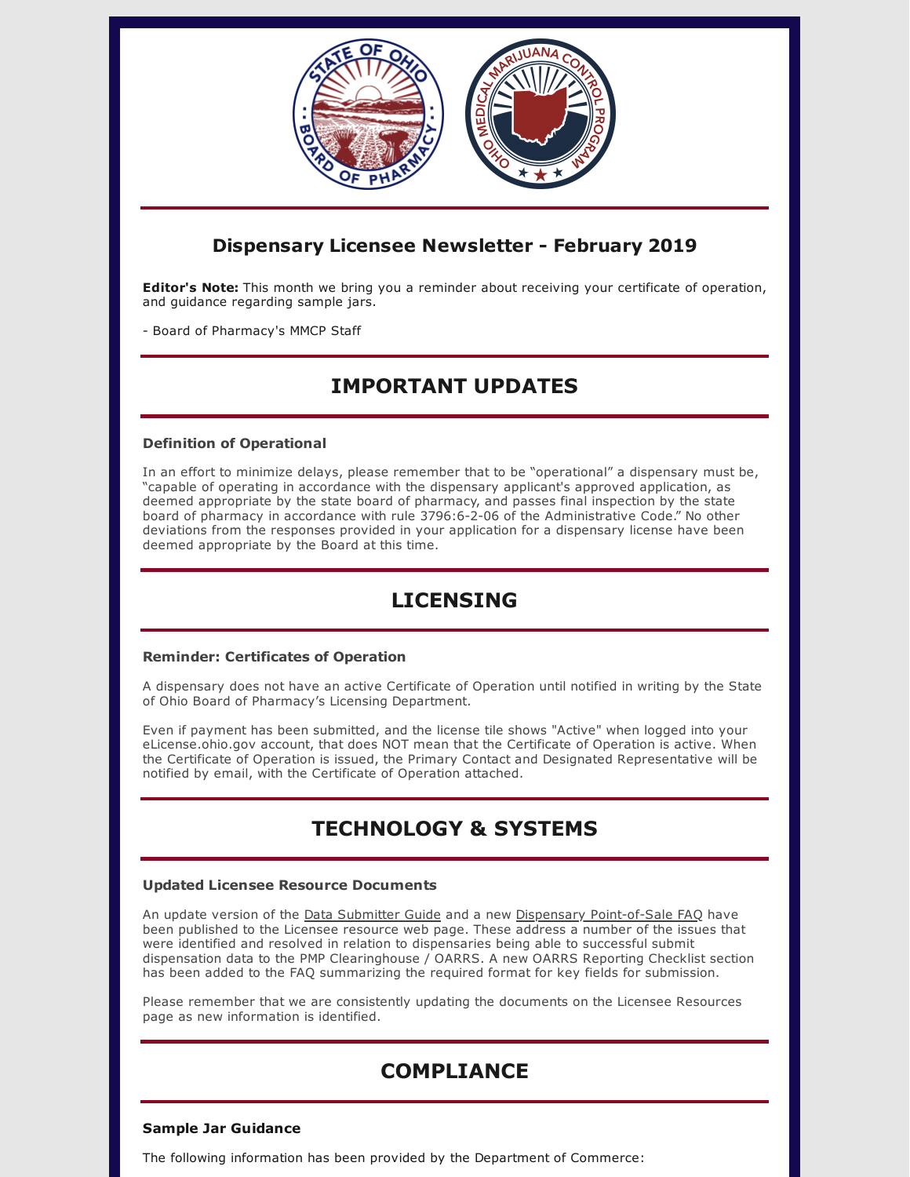

### **Dispensary Licensee Newsletter - February 2019**

**Editor's Note:** This month we bring you a reminder about receiving your certificate of operation, and guidance regarding sample jars.

- Board of Pharmacy's MMCP Staff

# **IMPORTANT UPDATES**

### **Definition of Operational**

In an effort to minimize delays, please remember that to be "operational" a dispensary must be, "capable of operating in accordance with the dispensary applicant's approved application, as deemed appropriate by the state board of pharmacy, and passes final inspection by the state board of pharmacy in accordance with rule 3796:6-2-06 of the Administrative Code." No other deviations from the responses provided in your application for a dispensary license have been deemed appropriate by the Board at this time.

## **LICENSING**

### **Reminder: Certificates of Operation**

A dispensary does not have an active Certificate of Operation until notified in writing by the State of Ohio Board of Pharmacy's Licensing Department.

Even if payment has been submitted, and the license tile shows "Active" when logged into your eLicense.ohio.gov account, that does NOT mean that the Certificate of Operation is active. When the Certificate of Operation is issued, the Primary Contact and Designated Representative will be notified by email, with the Certificate of Operation attached.

# **TECHNOLOGY & SYSTEMS**

### **Updated Licensee Resource Documents**

An update version of the Data [Submitter](https://www.medicalmarijuana.ohio.gov/Documents/LicenseeResources/Dispensary%20Licensee%20Resources/DISPENSARY%20TECHNOLOGY%20&%20SYSTEMS/Ohio%20Medical%20Marijuana%20Patient%20&%20Caregiver%20Registry%20-%20Dispensary%20Data%20Submission%20Guide.pdf) Guide and a new Dispensary [Point-of-Sale](https://www.medicalmarijuana.ohio.gov/Documents/LicenseeResources/Dispensary%20Licensee%20Resources/DISPENSARY%20TECHNOLOGY%20&%20SYSTEMS/Dispensary%20Point-of-Sale%20FAQ.pdf) FAQ have been published to the Licensee resource web page. These address a number of the issues that were identified and resolved in relation to dispensaries being able to successful submit dispensation data to the PMP Clearinghouse / OARRS. A new OARRS Reporting Checklist section has been added to the FAQ summarizing the required format for key fields for submission.

Please remember that we are consistently updating the documents on the Licensee Resources page as new information is identified.

# **COMPLIANCE**

### **Sample Jar Guidance**

The following information has been provided by the Department of Commerce: